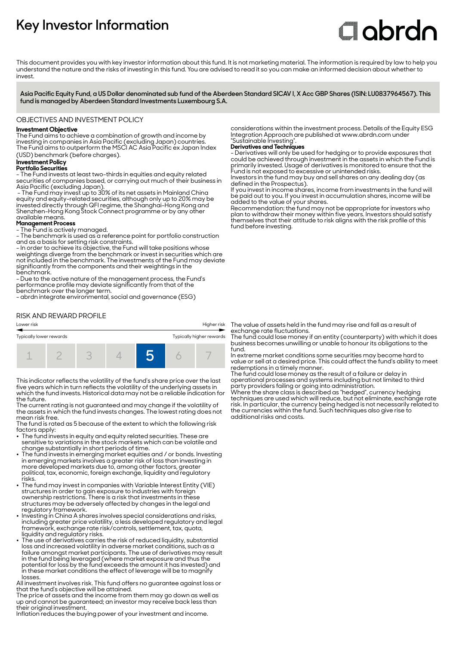# **Key Investor Information**

# Clobrdn

This document provides you with key investor information about this fund. It is not marketing material. The information is required by law to help you understand the nature and the risks of investing in this fund. You are advised to read it so you can make an informed decision about whether to invest

**Asia Pacific Equity Fund, a US Dollar denominated sub fund of the Aberdeen Standard SICAV I, X Acc GBP Shares (ISIN: LU0837964567). This fund is managed by Aberdeen Standard Investments Luxembourg S.A.**

#### OBJECTIVES AND INVESTMENT POLICY

## **Investment Objective**

The Fund aims to achieve a combination of growth and income by investing in companies in Asia Pacific (excluding Japan) countries. The Fund aims to outperform the MSCI AC Asia Pacific ex Japan Index (USD) benchmark (before charges).

#### **Investment Policy**

#### **Portfolio Securities**

- The Fund invests at least two-thirds in equities and equity related securities of companies based, or carrying out much of their business in Asia Pacific (excluding Japan).

 - The Fund may invest up to 30% of its net assets in Mainland China equity and equity-related securities, although only up to 20% may be invested directly through QFI regime, the Shanghai-Hong Kong and Shenzhen-Hong Kong Stock Connect programme or by any other available means.

#### **Management Process**

- The Fund is actively managed.

- The benchmark is used as a reference point for portfolio construction and as a basis for setting risk constraints.

- In order to achieve its objective, the Fund will take positions whose weightings diverge from the benchmark or invest in securities which are not included in the benchmark. The investments of the Fund may deviate significantly from the components and their weightings in the benchmark.

- Due to the active nature of the management process, the Fund's performance profile may deviate significantly from that of the benchmark over the longer term.

- abrdn integrate environmental, social and governance (ESG)

# RISK AND REWARD PROFILE



This indicator reflects the volatility of the fund's share price over the last five years which in turn reflects the volatility of the underlying assets in which the fund invests. Historical data may not be a reliable indication for the future.

The current rating is not guaranteed and may change if the volatility of the assets in which the fund invests changes. The lowest rating does not mean risk free.

The fund is rated as 5 because of the extent to which the following risk factors apply:

- The fund invests in equity and equity related securities. These are sensitive to variations in the stock markets which can be volatile and change substantially in short periods of time.
- The fund invests in emerging market equities and / or bonds. Investing in emerging markets involves a greater risk of loss than investing in more developed markets due to, among other factors, greater political, tax, economic, foreign exchange, liquidity and regulatory risks.
- The fund may invest in companies with Variable Interest Entity (VIE) structures in order to gain exposure to industries with foreign ownership restrictions. There is a risk that investments in these structures may be adversely affected by changes in the legal and regulatory framework.
- Investing in China A shares involves special considerations and risks, including greater price volatility, a less developed regulatory and legal framework, exchange rate risk/controls, settlement, tax, quota,
- liquidity and regulatory risks. 2 The use of derivatives carries the risk of reduced liquidity, substantial loss and increased volatility in adverse market conditions, such as a failure amongst market participants. The use of derivatives may result in the fund being leveraged (where market exposure and thus the potential for loss by the fund exceeds the amount it has invested) and in these market conditions the effect of leverage will be to magnify losses.

All investment involves risk. This fund offers no guarantee against loss or that the fund's objective will be attained.

The price of assets and the income from them may go down as well as up and cannot be guaranteed; an investor may receive back less than their original investment.

Inflation reduces the buying power of your investment and income.

considerations within the investment process. Details of the Equity ESG Integration Approach are published at www.abrdn.com under "Sustainable Investing".

#### **Derivatives and Techniques**

- Derivatives will only be used for hedging or to provide exposures that could be achieved through investment in the assets in which the Fund is primarily invested. Usage of derivatives is monitored to ensure that the Fund is not exposed to excessive or unintended risks.

Investors in the fund may buy and sell shares on any dealing day (as defined in the Prospectus). If you invest in income shares, income from investments in the fund will

be paid out to you. If you invest in accumulation shares, income will be added to the value of your shares.

Recommendation: the fund may not be appropriate for investors who plan to withdraw their money within five years. Investors should satisfy themselves that their attitude to risk aligns with the risk profile of this fund before investing.

The value of assets held in the fund may rise and fall as a result of exchange rate fluctuations.

The fund could lose money if an entity (counterparty) with which it does business becomes unwilling or unable to honour its obligations to the fund.

In extreme market conditions some securities may become hard to value or sell at a desired price. This could affect the fund's ability to meet redemptions in a timely manner.

The fund could lose money as the result of a failure or delay in operational processes and systems including but not limited to third party providers failing or going into administration.

Where the share class is described as "hedged", currency hedging techniques are used which will reduce, but not eliminate, exchange rate risk. In particular, the currency being hedged is not necessarily related to the currencies within the fund. Such techniques also give rise to additional risks and costs.